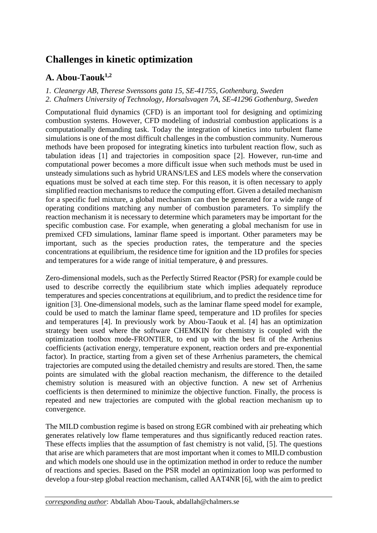## **Challenges in kinetic optimization**

## **A. Abou-Taouk1,2**

*1. Cleanergy AB, Therese Svenssons gata 15, SE-41755, Gothenburg, Sweden*

*2. Chalmers University of Technology, Horsalsvagen 7A, SE-41296 Gothenburg, Sweden*

Computational fluid dynamics (CFD) is an important tool for designing and optimizing combustion systems. However, CFD modeling of industrial combustion applications is a computationally demanding task. Today the integration of kinetics into turbulent flame simulations is one of the most difficult challenges in the combustion community. Numerous methods have been proposed for integrating kinetics into turbulent reaction flow, such as tabulation ideas [1] and trajectories in composition space [2]. However, run-time and computational power becomes a more difficult issue when such methods must be used in unsteady simulations such as hybrid URANS/LES and LES models where the conservation equations must be solved at each time step. For this reason, it is often necessary to apply simplified reaction mechanisms to reduce the computing effort. Given a detailed mechanism for a specific fuel mixture, a global mechanism can then be generated for a wide range of operating conditions matching any number of combustion parameters. To simplify the reaction mechanism it is necessary to determine which parameters may be important for the specific combustion case. For example, when generating a global mechanism for use in premixed CFD simulations, laminar flame speed is important. Other parameters may be important, such as the species production rates, the temperature and the species concentrations at equilibrium, the residence time for ignition and the 1D profiles for species and temperatures for a wide range of initial temperature,  $\phi$  and pressures.

Zero-dimensional models, such as the Perfectly Stirred Reactor (PSR) for example could be used to describe correctly the equilibrium state which implies adequately reproduce temperatures and species concentrations at equilibrium, and to predict the residence time for ignition [3]. One-dimensional models, such as the laminar flame speed model for example, could be used to match the laminar flame speed, temperature and 1D profiles for species and temperatures [4]. In previously work by Abou-Taouk et al. [4] has an optimization strategy been used where the software CHEMKIN for chemistry is coupled with the optimization toolbox mode-FRONTIER, to end up with the best fit of the Arrhenius coefficients (activation energy, temperature exponent, reaction orders and pre-exponential factor). In practice, starting from a given set of these Arrhenius parameters, the chemical trajectories are computed using the detailed chemistry and results are stored. Then, the same points are simulated with the global reaction mechanism, the difference to the detailed chemistry solution is measured with an objective function. A new set of Arrhenius coefficients is then determined to minimize the objective function. Finally, the process is repeated and new trajectories are computed with the global reaction mechanism up to convergence.

The MILD combustion regime is based on strong EGR combined with air preheating which generates relatively low flame temperatures and thus significantly reduced reaction rates. These effects implies that the assumption of fast chemistry is not valid, [5]. The questions that arise are which parameters that are most important when it comes to MILD combustion and which models one should use in the optimization method in order to reduce the number of reactions and species. Based on the PSR model an optimization loop was performed to develop a four-step global reaction mechanism, called AAT4NR [6], with the aim to predict